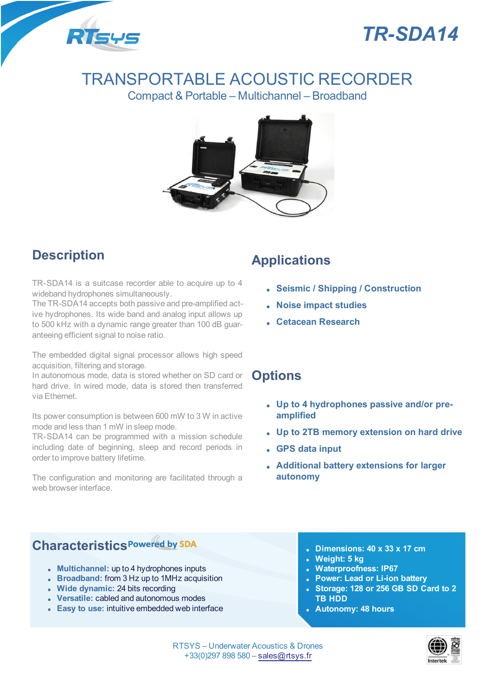



# TRANSPORTABLE ACOUSTIC RECORDER

Compact & Portable – Multichannel – Broadband



# **Description**

TR-SDA14 is a suitcase recorder able to acquire up to 4 wideband hydrophones simultaneously.

The TR-SDA14 accepts both passive and pre-amplified active hydrophones. Its wide band and analog input allows up to 500 kHz with a dynamic range greater than 100 dB guaranteeing efficient signal to noise ratio.

The embedded digital signal processor allows high speed acquisition, filtering and storage.

In autonomous mode, data is stored whether on SD card or hard drive. In wired mode, data is stored then transferred via Ethernet.

Its power consumption is between 600 mW to 3 W in active mode and less than 1 mW in sleep mode.

TR-SDA14 can be programmed with a mission schedule including date of beginning, sleep and record periods in order to improve battery lifetime.

The configuration and monitoring are facilitated through a web browser interface

## **Applications**

- <sup>l</sup> **Seismic / Shipping / Construction**
- <sup>l</sup> **Noise impact studies**
- <sup>l</sup> **Cetacean Research**

### **Options**

- <sup>l</sup> **Up to 4 hydrophones passive and/or preamplified**
- <sup>l</sup> **Up to 2TB memory extension on hard drive**
- <sup>l</sup> **GPS data input**
- <sup>l</sup> **Additional battery extensions for larger autonomy**

# **Characteristics**

- **Multichannel:** up to 4 hydrophones inputs
- <sup>l</sup> **Broadband:** from 3 Hz up to 1MHz acquisition
- <sup>l</sup> **Wide dynamic:** 24 bits recording
- **Versatile: cabled and autonomous modes**
- **Easy to use:** intuitive embedded web interface
- <sup>l</sup> **Dimensions: 40 x 33 x 17 cm**
- <sup>l</sup> **Weight: 5 kg**
- <sup>l</sup> **Waterproofness: IP67**
- <sup>l</sup> **Power: Lead or Li-ion battery**
- <sup>l</sup> **Storage: 128 or 256 GB SD Card to 2 TB HDD**
- <sup>l</sup> **Autonomy: 48 hours**

RTSYS – Underwater Acoustics & Drones +33(0)297 898 580 – sales@rtsys.fr